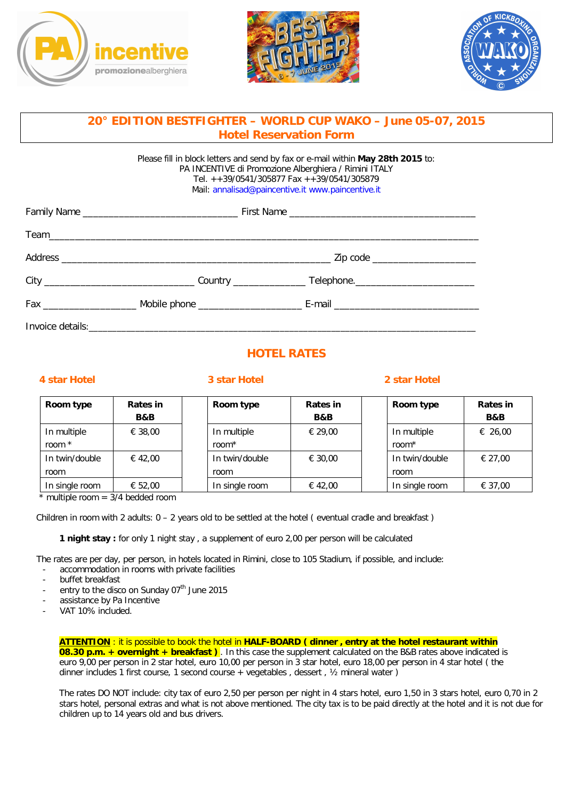





# **20° EDITION BESTFIGHTER – WORLD CUP WAKO – June 05-07, 2015 Hotel Reservation Form**

Please fill in block letters and send by fax or e-mail within **May 28th 2015** to: PA INCENTIVE di Promozione Alberghiera / Rimini ITALY Tel. ++39/0541/305877 Fax ++39/0541/305879 Mail: annalisad@paincentive.it www.paincentive.it

## **HOTEL RATES**

### **4 star Hotel 3 star Hotel 2 star Hotel**

| Room type      | Rates in       | Room type         | Rates in       | Room type         | Rates in       |
|----------------|----------------|-------------------|----------------|-------------------|----------------|
|                | <b>B&amp;B</b> |                   | <b>B&amp;B</b> |                   | <b>B&amp;B</b> |
| In multiple    | € 38,00        | In multiple       | € 29.00        | In multiple       | € 26,00        |
| room $*$       |                | room <sup>*</sup> |                | room <sup>*</sup> |                |
| In twin/double | € 42,00        | In twin/double    | € 30.00        | In twin/double    | € 27.00        |
| room           |                | room              |                | room              |                |
| In single room | € 52,00        | In single room    | € 42,00        | In single room    | € 37,00        |

 $*$  multiple room = 3/4 bedded room

Children in room with 2 adults:  $0 - 2$  years old to be settled at the hotel (eventual cradle and breakfast)

**1 night stay :** for only 1 night stay , a supplement of euro 2,00 per person will be calculated

The rates are per day, per person, in hotels located in Rimini, close to 105 Stadium, if possible, and include:

- accommodation in rooms with private facilities
- buffet breakfast
- entry to the disco on Sunday 07<sup>th</sup> June 2015
- assistance by Pa Incentive
- VAT 10% included.

**ATTENTION** : it is possible to book the hotel in **HALF-BOARD ( dinner , entry at the hotel restaurant within 08.30 p.m. + overnight + breakfast )** . In this case the supplement calculated on the B&B rates above indicated is euro 9,00 per person in 2 star hotel, euro 10,00 per person in 3 star hotel, euro 18,00 per person in 4 star hotel ( the dinner includes 1 first course, 1 second course + vegetables , dessert , ½ mineral water )

The rates DO NOT include: city tax of euro 2,50 per person per night in 4 stars hotel, euro 1,50 in 3 stars hotel, euro 0,70 in 2 stars hotel, personal extras and what is not above mentioned. The city tax is to be paid directly at the hotel and it is not due for children up to 14 years old and bus drivers.